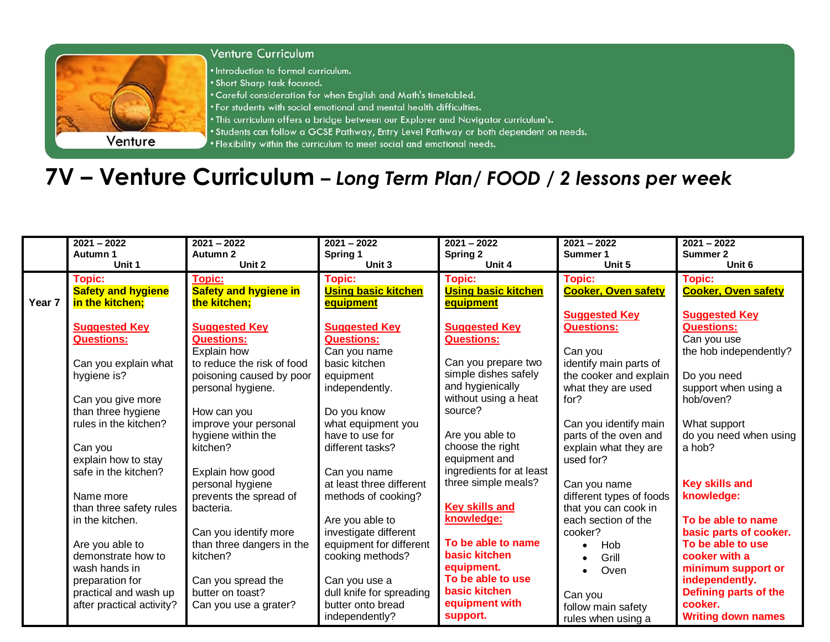

## **7V – Venture Curriculum** *– Long Term Plan/ FOOD / 2 lessons per week*

|        | $2021 - 2022$             | $2021 - 2022$                | $2021 - 2022$              | $2021 - 2022$              | $2021 - 2022$              | $2021 - 2022$                |
|--------|---------------------------|------------------------------|----------------------------|----------------------------|----------------------------|------------------------------|
|        | Autumn 1                  | Autumn 2                     | Spring 1                   | <b>Spring 2</b>            | Summer 1                   | <b>Summer 2</b>              |
|        | Unit 1                    | Unit 2                       | Unit 3                     | Unit 4                     | Unit 5                     | Unit 6                       |
|        | <b>Topic:</b>             | Topic:                       | <b>Topic:</b>              | <b>Topic:</b>              | <b>Topic:</b>              | <b>Topic:</b>                |
|        | <b>Safety and hygiene</b> | <b>Safety and hygiene in</b> | <b>Using basic kitchen</b> | <b>Using basic kitchen</b> | <b>Cooker, Oven safety</b> | <b>Cooker, Oven safety</b>   |
| Year 7 | in the kitchen;           | the kitchen;                 | equipment                  | equipment                  |                            |                              |
|        |                           |                              |                            |                            | <b>Suggested Key</b>       | <b>Suggested Key</b>         |
|        | <b>Suggested Key</b>      | <b>Suggested Key</b>         | <b>Suggested Key</b>       | <b>Suggested Key</b>       | <b>Questions:</b>          | <b>Questions:</b>            |
|        | <b>Questions:</b>         | <b>Questions:</b>            | <b>Questions:</b>          | <b>Questions:</b>          |                            | Can you use                  |
|        |                           | Explain how                  | Can you name               |                            | Can you                    | the hob independently?       |
|        | Can you explain what      | to reduce the risk of food   | basic kitchen              | Can you prepare two        | identify main parts of     |                              |
|        | hygiene is?               | poisoning caused by poor     | equipment                  | simple dishes safely       | the cooker and explain     | Do you need                  |
|        |                           | personal hygiene.            | independently.             | and hygienically           | what they are used         | support when using a         |
|        | Can you give more         |                              |                            | without using a heat       | for?                       | hob/oven?                    |
|        | than three hygiene        | How can you                  | Do you know                | source?                    |                            |                              |
|        | rules in the kitchen?     | improve your personal        | what equipment you         |                            | Can you identify main      | What support                 |
|        |                           | hygiene within the           | have to use for            | Are you able to            | parts of the oven and      | do you need when using       |
|        | Can you                   | kitchen?                     | different tasks?           | choose the right           | explain what they are      | a hob?                       |
|        | explain how to stay       |                              |                            | equipment and              | used for?                  |                              |
|        | safe in the kitchen?      | Explain how good             | Can you name               | ingredients for at least   |                            |                              |
|        |                           | personal hygiene             | at least three different   | three simple meals?        | Can you name               | <b>Key skills and</b>        |
|        | Name more                 | prevents the spread of       | methods of cooking?        |                            | different types of foods   | knowledge:                   |
|        | than three safety rules   | bacteria.                    |                            | <b>Key skills and</b>      | that you can cook in       |                              |
|        | in the kitchen.           |                              | Are you able to            | knowledge:                 | each section of the        | To be able to name           |
|        |                           | Can you identify more        | investigate different      |                            | cooker?                    | basic parts of cooker.       |
|        | Are you able to           | than three dangers in the    | equipment for different    | To be able to name         | Hob                        | To be able to use            |
|        | demonstrate how to        | kitchen?                     | cooking methods?           | basic kitchen              | Grill                      | cooker with a                |
|        | wash hands in             |                              |                            | equipment.                 | Oven                       | minimum support or           |
|        | preparation for           | Can you spread the           | Can you use a              | To be able to use          |                            | independently.               |
|        | practical and wash up     | butter on toast?             | dull knife for spreading   | basic kitchen              | Can you                    | <b>Defining parts of the</b> |
|        | after practical activity? | Can you use a grater?        | butter onto bread          | equipment with             | follow main safety         | cooker.                      |
|        |                           |                              | independently?             | support.                   | rules when using a         | <b>Writing down names</b>    |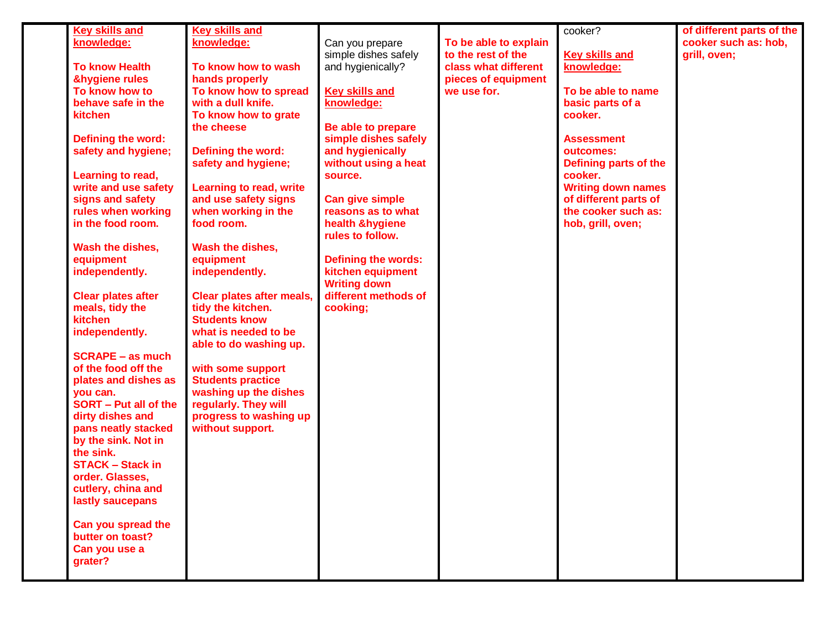| <b>Key skills and</b>     | <b>Key skills and</b>            |                            |                       | cooker?                   | of different parts of the |
|---------------------------|----------------------------------|----------------------------|-----------------------|---------------------------|---------------------------|
| knowledge:                | knowledge:                       | Can you prepare            | To be able to explain |                           | cooker such as: hob,      |
|                           |                                  | simple dishes safely       | to the rest of the    | <b>Key skills and</b>     | grill, oven;              |
| <b>To know Health</b>     | To know how to wash              | and hygienically?          | class what different  | knowledge:                |                           |
| <b>&amp;hygiene rules</b> | hands properly                   |                            | pieces of equipment   |                           |                           |
| To know how to            | To know how to spread            | <b>Key skills and</b>      | we use for.           | To be able to name        |                           |
| behave safe in the        | with a dull knife.               | knowledge:                 |                       | basic parts of a          |                           |
| kitchen                   | To know how to grate             |                            |                       | cooker.                   |                           |
|                           | the cheese                       | Be able to prepare         |                       |                           |                           |
| Defining the word:        |                                  | simple dishes safely       |                       | <b>Assessment</b>         |                           |
| safety and hygiene;       |                                  | and hygienically           |                       | outcomes:                 |                           |
|                           | Defining the word:               |                            |                       |                           |                           |
|                           | safety and hygiene;              | without using a heat       |                       | Defining parts of the     |                           |
| Learning to read,         |                                  | source.                    |                       | cooker.                   |                           |
| write and use safety      | <b>Learning to read, write</b>   |                            |                       | <b>Writing down names</b> |                           |
| signs and safety          | and use safety signs             | <b>Can give simple</b>     |                       | of different parts of     |                           |
| rules when working        | when working in the              | reasons as to what         |                       | the cooker such as:       |                           |
| in the food room.         | food room.                       | health &hygiene            |                       | hob, grill, oven;         |                           |
|                           |                                  | rules to follow.           |                       |                           |                           |
| Wash the dishes,          | Wash the dishes,                 |                            |                       |                           |                           |
| equipment                 | equipment                        | <b>Defining the words:</b> |                       |                           |                           |
| independently.            | independently.                   | kitchen equipment          |                       |                           |                           |
|                           |                                  | <b>Writing down</b>        |                       |                           |                           |
| <b>Clear plates after</b> | <b>Clear plates after meals,</b> | different methods of       |                       |                           |                           |
| meals, tidy the           | tidy the kitchen.                | cooking;                   |                       |                           |                           |
| kitchen                   | <b>Students know</b>             |                            |                       |                           |                           |
| independently.            | what is needed to be             |                            |                       |                           |                           |
|                           | able to do washing up.           |                            |                       |                           |                           |
| <b>SCRAPE - as much</b>   |                                  |                            |                       |                           |                           |
| of the food off the       | with some support                |                            |                       |                           |                           |
| plates and dishes as      | <b>Students practice</b>         |                            |                       |                           |                           |
| you can.                  | washing up the dishes            |                            |                       |                           |                           |
| SORT - Put all of the     | regularly. They will             |                            |                       |                           |                           |
| dirty dishes and          | progress to washing up           |                            |                       |                           |                           |
| pans neatly stacked       | without support.                 |                            |                       |                           |                           |
| by the sink. Not in       |                                  |                            |                       |                           |                           |
| the sink.                 |                                  |                            |                       |                           |                           |
| <b>STACK - Stack in</b>   |                                  |                            |                       |                           |                           |
| order. Glasses,           |                                  |                            |                       |                           |                           |
| cutlery, china and        |                                  |                            |                       |                           |                           |
| lastly saucepans          |                                  |                            |                       |                           |                           |
|                           |                                  |                            |                       |                           |                           |
| Can you spread the        |                                  |                            |                       |                           |                           |
| butter on toast?          |                                  |                            |                       |                           |                           |
| Can you use a             |                                  |                            |                       |                           |                           |
| grater?                   |                                  |                            |                       |                           |                           |
|                           |                                  |                            |                       |                           |                           |
|                           |                                  |                            |                       |                           |                           |